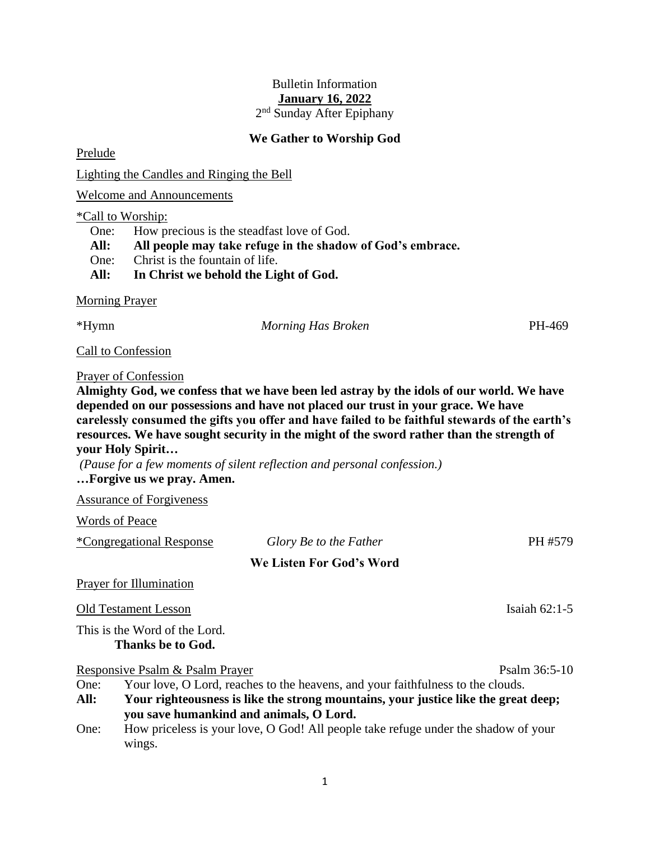### Bulletin Information **January 16, 2022**

2<sup>nd</sup> Sunday After Epiphany

#### **We Gather to Worship God**

Prelude

Lighting the Candles and Ringing the Bell

Welcome and Announcements

#### \*Call to Worship:

One: How precious is the steadfast love of God.

**All: All people may take refuge in the shadow of God's embrace.**

One: Christ is the fountain of life.

**All: In Christ we behold the Light of God.**

Morning Prayer

\*Hymn *Morning Has Broken* PH-469

Call to Confession

#### Prayer of Confession

**Almighty God, we confess that we have been led astray by the idols of our world. We have depended on our possessions and have not placed our trust in your grace. We have carelessly consumed the gifts you offer and have failed to be faithful stewards of the earth's resources. We have sought security in the might of the sword rather than the strength of your Holy Spirit…**

*(Pause for a few moments of silent reflection and personal confession.)* **…Forgive us we pray. Amen.**

Assurance of Forgiveness

Words of Peace

| <i>*Congregational Response</i> |  |
|---------------------------------|--|
|                                 |  |
|                                 |  |
|                                 |  |

# $Glory$  *Be to the Father* PH #579 **We Listen For God's Word**

### Prayer for Illumination

Old Testament Lesson Isaiah 62:1-5

This is the Word of the Lord. **Thanks be to God.**

Responsive Psalm & Psalm Prayer Psalm 36:5-10

- One: Your love, O Lord, reaches to the heavens, and your faithfulness to the clouds.
- **All: Your righteousness is like the strong mountains, your justice like the great deep; you save humankind and animals, O Lord.**
- One: How priceless is your love, O God! All people take refuge under the shadow of your wings.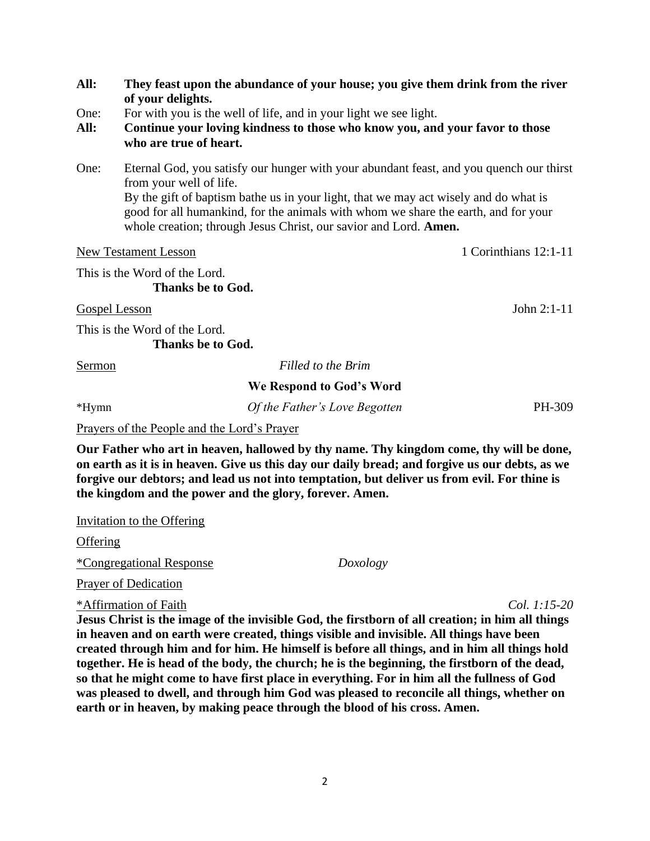| All:          | of your delights.                                  | They feast upon the abundance of your house; you give them drink from the river                                                                                                                                                                |                       |
|---------------|----------------------------------------------------|------------------------------------------------------------------------------------------------------------------------------------------------------------------------------------------------------------------------------------------------|-----------------------|
| One:          |                                                    | For with you is the well of life, and in your light we see light.                                                                                                                                                                              |                       |
| All:          | who are true of heart.                             | Continue your loving kindness to those who know you, and your favor to those                                                                                                                                                                   |                       |
| One:          | from your well of life.                            | Eternal God, you satisfy our hunger with your abundant feast, and you quench our thirst                                                                                                                                                        |                       |
|               |                                                    | By the gift of baptism bathe us in your light, that we may act wisely and do what is<br>good for all humankind, for the animals with whom we share the earth, and for your<br>whole creation; through Jesus Christ, our savior and Lord. Amen. |                       |
|               | <b>New Testament Lesson</b>                        |                                                                                                                                                                                                                                                | 1 Corinthians 12:1-11 |
|               | This is the Word of the Lord.                      |                                                                                                                                                                                                                                                |                       |
|               | Thanks be to God.                                  |                                                                                                                                                                                                                                                |                       |
|               | <b>Gospel Lesson</b>                               |                                                                                                                                                                                                                                                | John $2:1-11$         |
|               | This is the Word of the Lord.<br>Thanks be to God. |                                                                                                                                                                                                                                                |                       |
| <u>Sermon</u> |                                                    | Filled to the Brim                                                                                                                                                                                                                             |                       |
|               |                                                    | We Respond to God's Word                                                                                                                                                                                                                       |                       |
| $*Hymn$       |                                                    | Of the Father's Love Begotten                                                                                                                                                                                                                  | PH-309                |
|               |                                                    |                                                                                                                                                                                                                                                |                       |

Prayers of the People and the Lord's Prayer

**Our Father who art in heaven, hallowed by thy name. Thy kingdom come, thy will be done, on earth as it is in heaven. Give us this day our daily bread; and forgive us our debts, as we forgive our debtors; and lead us not into temptation, but deliver us from evil. For thine is the kingdom and the power and the glory, forever. Amen.**

Invitation to the Offering

**Offering** 

\*Congregational Response *Doxology*

Prayer of Dedication

\*Affirmation of Faith *Col. 1:15-20*

**Jesus Christ is the image of the invisible God, the firstborn of all creation; in him all things in heaven and on earth were created, things visible and invisible. All things have been created through him and for him. He himself is before all things, and in him all things hold together. He is head of the body, the church; he is the beginning, the firstborn of the dead, so that he might come to have first place in everything. For in him all the fullness of God was pleased to dwell, and through him God was pleased to reconcile all things, whether on earth or in heaven, by making peace through the blood of his cross. Amen.**